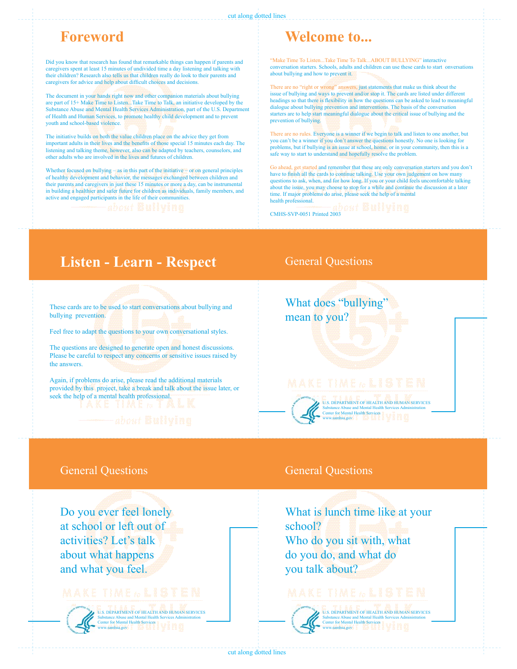### cut along dotted lines

# **Foreword**

Did you know that research has found that remarkable things can happen if parents and caregivers spent at least 15 minutes of undivided time a day listening and talking with their children? Research also tells us that children really do look to their parents and caregivers for advice and help about difficult choices and decisions.

The document in your hands right now and other companion materials about bullying are part of 15+ Make Time to Listen...Take Time to Talk, an initiative developed by the Substance Abuse and Mental Health Services Administration, part of the U.S. Department of Health and Human Services, to promote healthy child development and to prevent youth and school-based violence.

The initiative builds on both the value children place on the advice they get from important adults in their lives and the benefits of those special 15 minutes each day. The listening and talking theme, however, also can be adapted by teachers, counselors, and other adults who are involved in the lives and futures of children.

Whether focused on bullying – as in this part of the initiative – or on general principles of healthy development and behavior, the messages exchanged between children and their parents and caregivers in just these 15 minutes or more a day, can be instrumental in building a healthier and safer future for children as individuals, family members, and active and engaged participants in the life of their communities.

# **Welcome to...**

"Make Time To Listen...Take Time To Talk...ABOUT BULLYING" interactive conversation starters. Schools, adults and children can use these cards to start onversations about bullying and how to prevent it.

There are no "right or wrong" answers, just statements that make us think about the issue of bullying and ways to prevent and/or stop it. The cards are listed under different headings so that there is flexibility in how the questions can be asked to lead to meaningful dialogue about bullying prevention and interventions. The basis of the conversation starters are to help start meaningful dialogue about the critical issue of bullying and the prevention of bullying.

There are no rules. Everyone is a winner if we begin to talk and listen to one another, but you can't be a winner if you don't answer the questions honestly. No one is looking for problems, but if bullying is an issue at school, home, or in your community, then this is a safe way to start to understand and hopefully resolve the problem.

Go ahead, get started and remember that these are only conversation starters and you don't have to finish all the cards to continue talking. Use your own judgement on how mater questions to ask, when, and for how long. If you or your child feels uncomfortable talking about the issue, you may choose to stop for a while and continue the discussion at a later time. If major problems do arise, please seek the help of a mental health professional.

CMHS-SVP-0051 Printed 2003

# **Listen - Learn - Respect**

These cards are to be used to start conversations about bullying and bullying prevention.

Feel free to adapt the questions to your own conversational styles.

The questions are designed to generate open and honest discussions. Please be careful to respect any concerns or sensitive issues raised by the answers.

Again, if problems do arise, please read the additional materials provided by this project, take a break and talk about the issue later, or seek the help of a mental health professional.

General Questions

Do you ever feel lonely at school or left out of activities? Let's talk about what happens and what you feel.



U.S. DEPARTMENT OF HEALTH AND HUMAN SERVICES<br>Substance Abuse and Mental Health Services Administration Substance Abuse and Mental Health Services Administration Center for Mental Health Services www.samhsa.gov

## General Questions

What does "bullying" mean to you?



U.S. DEPARTMENT OF HEALTH AND HUMAN SERVICES Substance Abuse and Mental Health Services Administration<br>Center for Mental Health Services  $\mathbb{R} \times \mathbb{R} \times \mathbb{R}$ www.samhsa.gov

### General Questions

What is lunch time like at your school? Who do you sit with, what do you do, and what do you talk about?

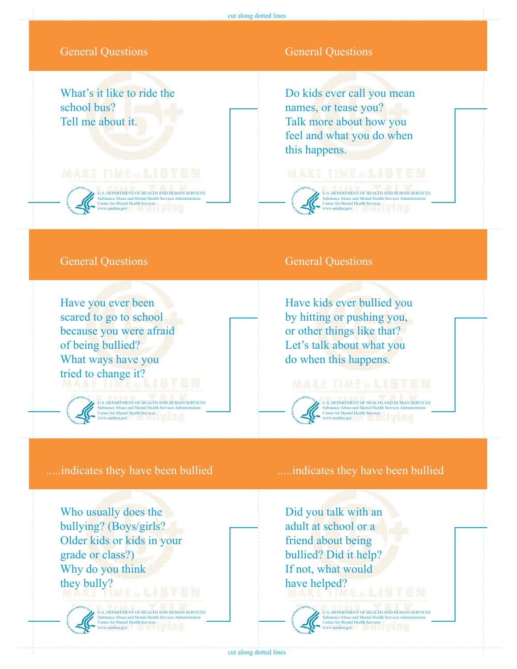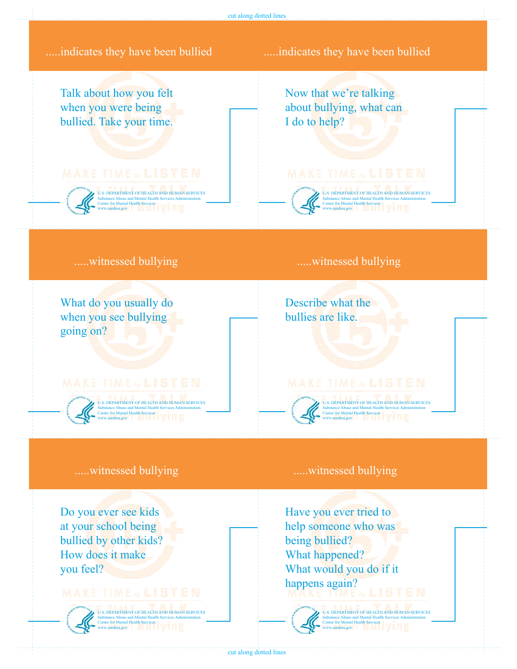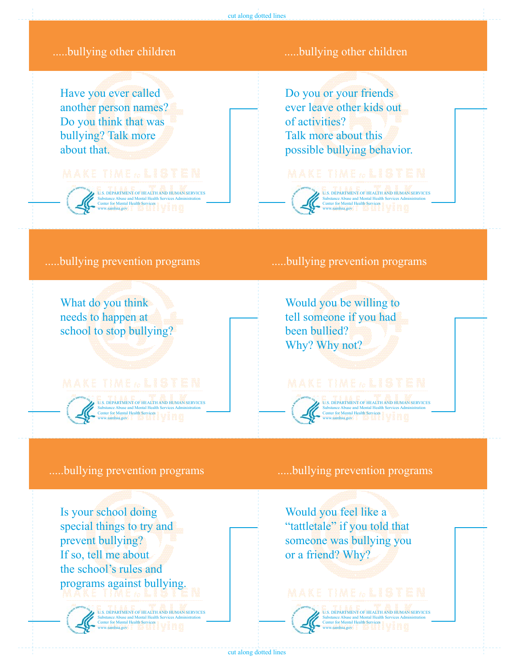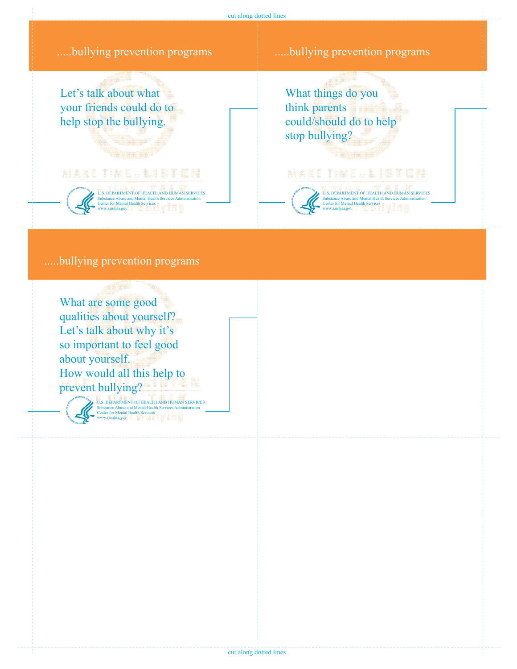

### .....bullying prevention programs

What are some good qualities about yourself? Let's talk about why it's so important to feel good about yourself. How would all this help to prevent bullying?

U.S. DEPARTMENT OF HEALTH AND HUMAN SERVICES Substance Abuse and Mental Health Services Administration Center for Mental Health Services www.samhsa.gov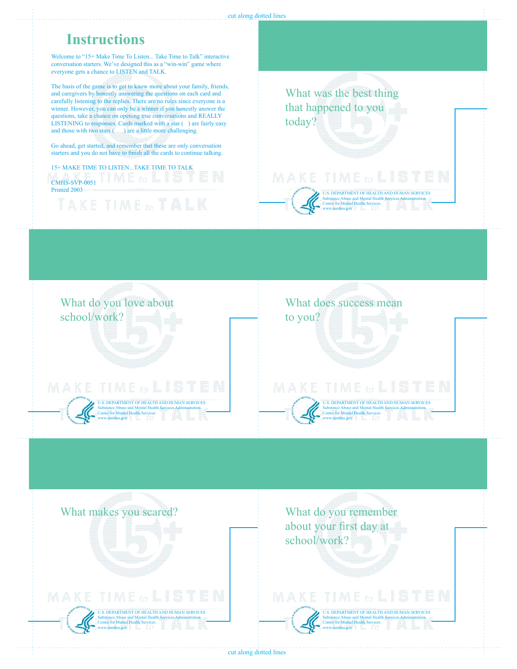

cut along dotted lines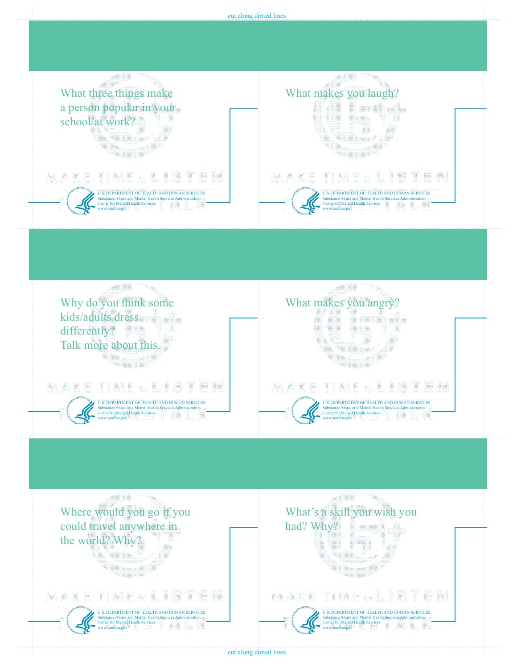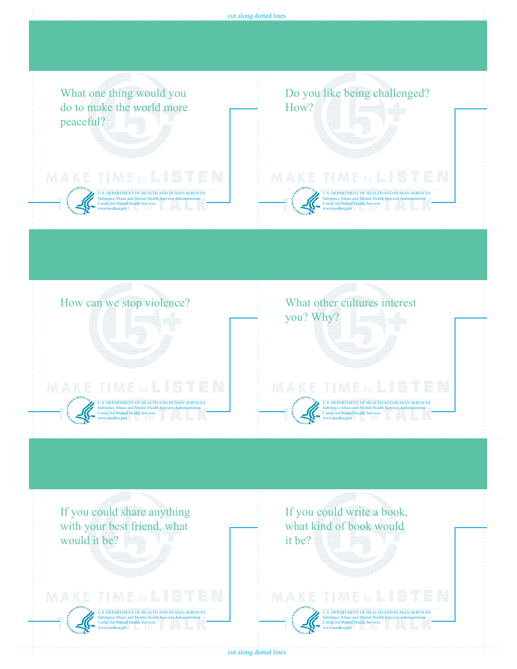

cut along dotted lines